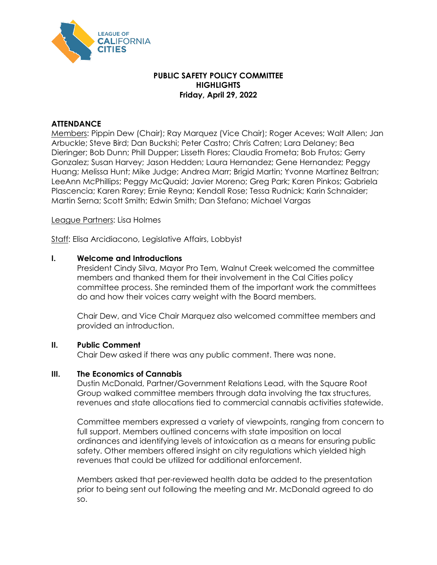

# **PUBLIC SAFETY POLICY COMMITTEE HIGHLIGHTS Friday, April 29, 2022**

# **ATTENDANCE**

Members: Pippin Dew (Chair); Ray Marquez (Vice Chair); Roger Aceves; Walt Allen; Jan Arbuckle; Steve Bird; Dan Buckshi; Peter Castro; Chris Catren; Lara Delaney; Bea Dieringer; Bob Dunn; Phill Dupper; Lisseth Flores; Claudia Frometa; Bob Frutos; Gerry Gonzalez; Susan Harvey; Jason Hedden; Laura Hernandez; Gene Hernandez; Peggy Huang; Melissa Hunt; Mike Judge; Andrea Marr; Brigid Martin; Yvonne Martinez Beltran; LeeAnn McPhillips; Peggy McQuaid; Javier Moreno; Greg Park; Karen Pinkos; Gabriela Plascencia; Karen Rarey; Ernie Reyna; Kendall Rose; Tessa Rudnick; Karin Schnaider; Martin Serna; Scott Smith; Edwin Smith; Dan Stefano; Michael Vargas

League Partners: Lisa Holmes

Staff: Elisa Arcidiacono, Legislative Affairs, Lobbyist

#### **I. Welcome and Introductions**

President Cindy Silva, Mayor Pro Tem, Walnut Creek welcomed the committee members and thanked them for their involvement in the Cal Cities policy committee process. She reminded them of the important work the committees do and how their voices carry weight with the Board members.

Chair Dew, and Vice Chair Marquez also welcomed committee members and provided an introduction.

#### **II. Public Comment**

Chair Dew asked if there was any public comment. There was none.

## **III. The Economics of Cannabis**

Dustin McDonald, Partner/Government Relations Lead, with the Square Root Group walked committee members through data involving the tax structures, revenues and state allocations tied to commercial cannabis activities statewide.

Committee members expressed a variety of viewpoints, ranging from concern to full support. Members outlined concerns with state imposition on local ordinances and identifying levels of intoxication as a means for ensuring public safety. Other members offered insight on city regulations which yielded high revenues that could be utilized for additional enforcement.

Members asked that per-reviewed health data be added to the presentation prior to being sent out following the meeting and Mr. McDonald agreed to do so.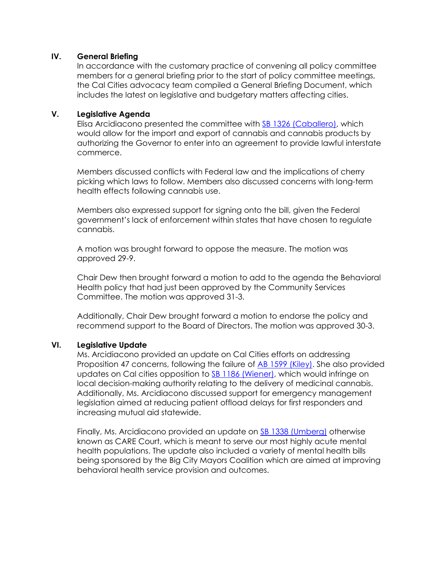## **IV. General Briefing**

In accordance with the customary practice of convening all policy committee members for a general briefing prior to the start of policy committee meetings, the Cal Cities advocacy team compiled a General Briefing Document, which includes the latest on legislative and budgetary matters affecting cities.

## **V. Legislative Agenda**

Elisa Arcidiacono presented the committee with [SB 1326 \(Caballero\),](https://ctweb.capitoltrack.com/public/search.aspx?id=ad485199-37cd-42cd-8217-d19b4d257119&session=21&s=sb%201326&t=bill) which would allow for the import and export of cannabis and cannabis products by authorizing the Governor to enter into an agreement to provide lawful interstate commerce.

Members discussed conflicts with Federal law and the implications of cherry picking which laws to follow. Members also discussed concerns with long-term health effects following cannabis use.

Members also expressed support for signing onto the bill, given the Federal government's lack of enforcement within states that have chosen to regulate cannabis.

A motion was brought forward to oppose the measure. The motion was approved 29-9.

Chair Dew then brought forward a motion to add to the agenda the Behavioral Health policy that had just been approved by the Community Services Committee. The motion was approved 31-3.

Additionally, Chair Dew brought forward a motion to endorse the policy and recommend support to the Board of Directors. The motion was approved 30-3.

## **VI. Legislative Update**

Ms. Arcidiacono provided an update on Cal Cities efforts on addressing Proposition 47 concerns, following the failure of [AB 1599 \(Kiley\).](https://ctweb.capitoltrack.com/public/search.aspx?id=ad485199-37cd-42cd-8217-d19b4d257119&session=21&s=ab%201599&t=bill) She also provided updates on Cal cities opposition to [SB 1186 \(Wiener\),](https://ctweb.capitoltrack.com/public/search.aspx?id=ad485199-37cd-42cd-8217-d19b4d257119&session=21&s=sb%201186&t=bill) which would infringe on local decision-making authority relating to the delivery of medicinal cannabis. Additionally, Ms. Arcidiacono discussed support for emergency management legislation aimed at reducing patient offload delays for first responders and increasing mutual aid statewide.

Finally, Ms. Arcidiacono provided an update on **SB 1338 (Umberg)** otherwise known as CARE Court, which is meant to serve our most highly acute mental health populations. The update also included a variety of mental health bills being sponsored by the Big City Mayors Coalition which are aimed at improving behavioral health service provision and outcomes.